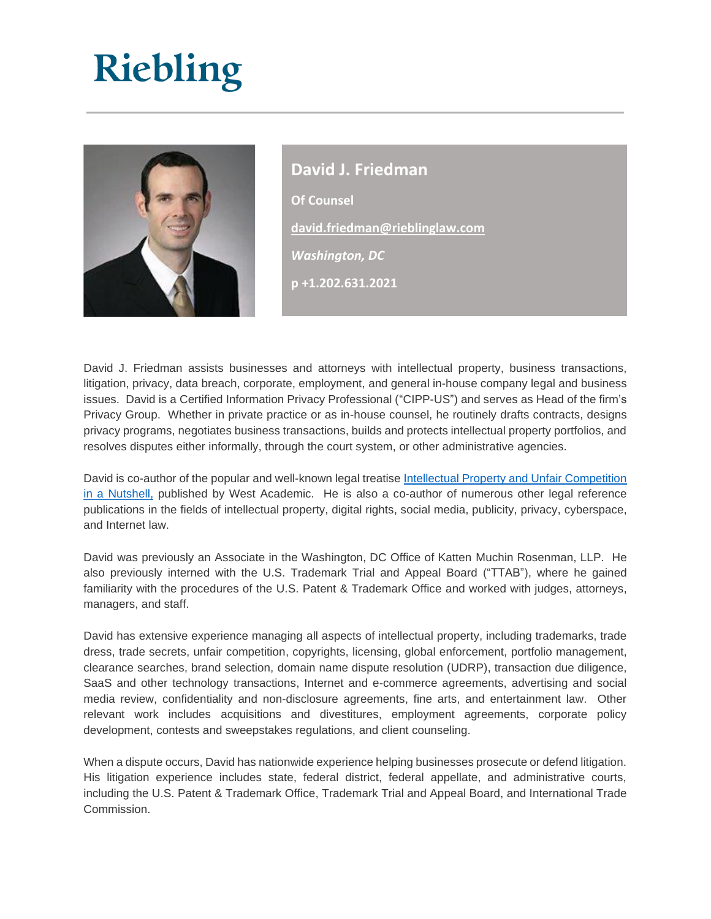## Riebling



**David J. Friedman Of Counsel [david.friedman@rieblinglaw.com](mailto:david.friedman@rieblinglaw.com)** *Washington, DC* **p +1.202.631.2021**

David J. Friedman assists businesses and attorneys with intellectual property, business transactions, litigation, privacy, data breach, corporate, employment, and general in-house company legal and business issues. David is a Certified Information Privacy Professional ("CIPP-US") and serves as Head of the firm's Privacy Group. Whether in private practice or as in-house counsel, he routinely drafts contracts, designs privacy programs, negotiates business transactions, builds and protects intellectual property portfolios, and resolves disputes either informally, through the court system, or other administrative agencies.

David is co-author of the popular and well-known legal treatis[e Intellectual Property and Unfair Competition](http://store.westacademic.com/McManis_and_Friedmans_Intellectual_Property_and_Unfair_Competition_in_a_Nutshell_7th_9780314280640.html)  [in a Nutshell,](http://store.westacademic.com/McManis_and_Friedmans_Intellectual_Property_and_Unfair_Competition_in_a_Nutshell_7th_9780314280640.html) published by West Academic. He is also a co-author of numerous other legal reference publications in the fields of intellectual property, digital rights, social media, publicity, privacy, cyberspace, and Internet law.

David was previously an Associate in the Washington, DC Office of Katten Muchin Rosenman, LLP. He also previously interned with the U.S. Trademark Trial and Appeal Board ("TTAB"), where he gained familiarity with the procedures of the U.S. Patent & Trademark Office and worked with judges, attorneys, managers, and staff.

David has extensive experience managing all aspects of intellectual property, including trademarks, trade dress, trade secrets, unfair competition, copyrights, licensing, global enforcement, portfolio management, clearance searches, brand selection, domain name dispute resolution (UDRP), transaction due diligence, SaaS and other technology transactions, Internet and e-commerce agreements, advertising and social media review, confidentiality and non-disclosure agreements, fine arts, and entertainment law. Other relevant work includes acquisitions and divestitures, employment agreements, corporate policy development, contests and sweepstakes regulations, and client counseling.

When a dispute occurs, David has nationwide experience helping businesses prosecute or defend litigation. His litigation experience includes state, federal district, federal appellate, and administrative courts, including the U.S. Patent & Trademark Office, Trademark Trial and Appeal Board, and International Trade Commission.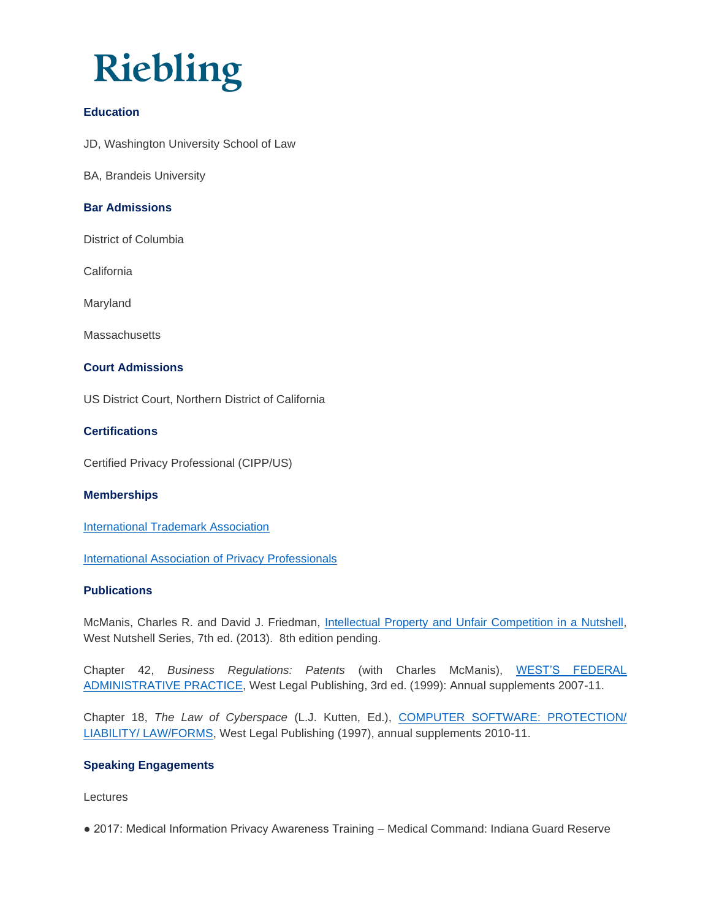### **Riebling**

#### **Education**

JD, Washington University School of Law

BA, Brandeis University

#### **Bar Admissions**

District of Columbia

**California** 

Maryland

**Massachusetts** 

#### **Court Admissions**

US District Court, Northern District of California

#### **Certifications**

Certified Privacy Professional (CIPP/US)

#### **Memberships**

[International Trademark Association](http://www.inta.org/)

[International Association of Privacy Professionals](https://iapp.org/)

#### **Publications**

McManis, Charles R. and David J. Friedman, [Intellectual Property and Unfair Competition in a Nutshell,](http://store.westacademic.com/McManis_and_Friedmans_Intellectual_Property_and_Unfair_Competition_in_a_Nutshell_7th_9780314280640.html) West Nutshell Series, 7th ed. (2013). 8th edition pending.

Chapter 42, *Business Regulations: Patents* (with Charles McManis), [WEST'S FEDERAL](http://legalsolutions.thomsonreuters.com/law-products/Treatises/Westsreg-Federal-Administrative-Practice/p/100028480)  [ADMINISTRATIVE PRACTICE,](http://legalsolutions.thomsonreuters.com/law-products/Treatises/Westsreg-Federal-Administrative-Practice/p/100028480) West Legal Publishing, 3rd ed. (1999): Annual supplements 2007-11.

Chapter 18, *The Law of Cyberspace* (L.J. Kutten, Ed.), [COMPUTER SOFTWARE: PROTECTION/](http://legalsolutions.thomsonreuters.com/law-products/Forms---Topical/Computer-Software-Protection--Liability--Law-Forms/p/100028073)  [LIABILITY/ LAW/FORMS,](http://legalsolutions.thomsonreuters.com/law-products/Forms---Topical/Computer-Software-Protection--Liability--Law-Forms/p/100028073) West Legal Publishing (1997), annual supplements 2010-11.

#### **Speaking Engagements**

Lectures

● 2017: Medical Information Privacy Awareness Training – Medical Command: Indiana Guard Reserve